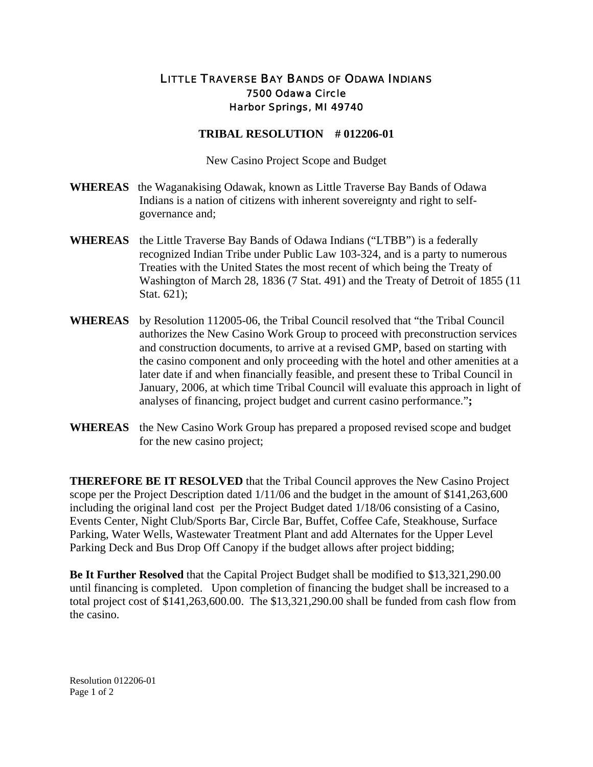## LITTLE TRAVERSE BAY BANDS OF ODAWA INDIANS 7500 Odawa Circle Harbor Springs, MI 49740

## **TRIBAL RESOLUTION # 012206-01**

New Casino Project Scope and Budget

- **WHEREAS** the Waganakising Odawak, known as Little Traverse Bay Bands of Odawa Indians is a nation of citizens with inherent sovereignty and right to selfgovernance and;
- **WHEREAS** the Little Traverse Bay Bands of Odawa Indians ("LTBB") is a federally recognized Indian Tribe under Public Law 103-324, and is a party to numerous Treaties with the United States the most recent of which being the Treaty of Washington of March 28, 1836 (7 Stat. 491) and the Treaty of Detroit of 1855 (11 Stat. 621);
- **WHEREAS** by Resolution 112005-06, the Tribal Council resolved that "the Tribal Council authorizes the New Casino Work Group to proceed with preconstruction services and construction documents, to arrive at a revised GMP, based on starting with the casino component and only proceeding with the hotel and other amenities at a later date if and when financially feasible, and present these to Tribal Council in January, 2006, at which time Tribal Council will evaluate this approach in light of analyses of financing, project budget and current casino performance."**;**
- **WHEREAS** the New Casino Work Group has prepared a proposed revised scope and budget for the new casino project;

**THEREFORE BE IT RESOLVED** that the Tribal Council approves the New Casino Project scope per the Project Description dated 1/11/06 and the budget in the amount of \$141,263,600 including the original land cost per the Project Budget dated 1/18/06 consisting of a Casino, Events Center, Night Club/Sports Bar, Circle Bar, Buffet, Coffee Cafe, Steakhouse, Surface Parking, Water Wells, Wastewater Treatment Plant and add Alternates for the Upper Level Parking Deck and Bus Drop Off Canopy if the budget allows after project bidding;

**Be It Further Resolved** that the Capital Project Budget shall be modified to \$13,321,290.00 until financing is completed. Upon completion of financing the budget shall be increased to a total project cost of \$141,263,600.00. The \$13,321,290.00 shall be funded from cash flow from the casino.

Resolution 012206-01 Page 1 of 2